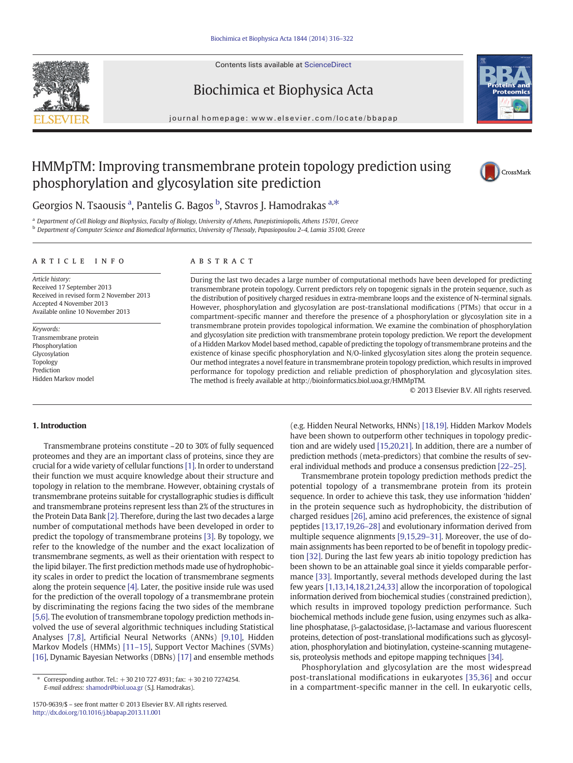Contents lists available at ScienceDirect





journal homepage: www.elsevier.com/locate/bbapap



# HMMpTM: Improving transmembrane protein topology prediction using phosphorylation and glycosylation site prediction



# Georgios N. Tsaousis<sup>a</sup>, Pantelis G. Bagos <sup>b</sup>, Stavros J. Hamodrakas <sup>a,\*</sup>

a Department of Cell Biology and Biophysics, Faculty of Biology, University of Athens, Panepistimiopolis, Athens 15701, Greece <sup>b</sup> Department of Computer Science and Biomedical Informatics, University of Thessaly, Papasiopoulou 2–4, Lamia 35100, Greece

### article info abstract

Article history: Received 17 September 2013 Received in revised form 2 November 2013 Accepted 4 November 2013 Available online 10 November 2013

Keywords: Transmembrane protein Phosphorylation Glycosylation Topology Prediction Hidden Markov model

During the last two decades a large number of computational methods have been developed for predicting transmembrane protein topology. Current predictors rely on topogenic signals in the protein sequence, such as the distribution of positively charged residues in extra-membrane loops and the existence of N-terminal signals. However, phosphorylation and glycosylation are post-translational modifications (PTMs) that occur in a compartment-specific manner and therefore the presence of a phosphorylation or glycosylation site in a transmembrane protein provides topological information. We examine the combination of phosphorylation and glycosylation site prediction with transmembrane protein topology prediction. We report the development of a Hidden Markov Model based method, capable of predicting the topology of transmembrane proteins and the existence of kinase specific phosphorylation and N/O-linked glycosylation sites along the protein sequence. Our method integrates a novel feature in transmembrane protein topology prediction, which results in improved performance for topology prediction and reliable prediction of phosphorylation and glycosylation sites. The method is freely available at http://bioinformatics.biol.uoa.gr/HMMpTM.

© 2013 Elsevier B.V. All rights reserved.

# 1. Introduction

Transmembrane proteins constitute ~20 to 30% of fully sequenced proteomes and they are an important class of proteins, since they are crucial for a wide variety of cellular functions [\[1\]](#page-5-0). In order to understand their function we must acquire knowledge about their structure and topology in relation to the membrane. However, obtaining crystals of transmembrane proteins suitable for crystallographic studies is difficult and transmembrane proteins represent less than 2% of the structures in the Protein Data Bank [\[2\].](#page-5-0) Therefore, during the last two decades a large number of computational methods have been developed in order to predict the topology of transmembrane proteins [\[3\]](#page-5-0). By topology, we refer to the knowledge of the number and the exact localization of transmembrane segments, as well as their orientation with respect to the lipid bilayer. The first prediction methods made use of hydrophobicity scales in order to predict the location of transmembrane segments along the protein sequence [\[4\].](#page-5-0) Later, the positive inside rule was used for the prediction of the overall topology of a transmembrane protein by discriminating the regions facing the two sides of the membrane [\[5,6\].](#page-5-0) The evolution of transmembrane topology prediction methods involved the use of several algorithmic techniques including Statistical Analyses [\[7,8\]](#page-5-0), Artificial Neural Networks (ANNs) [\[9,10\],](#page-5-0) Hidden Markov Models (HMMs) [11–[15\],](#page-5-0) Support Vector Machines (SVMs) [\[16\]](#page-5-0), Dynamic Bayesian Networks (DBNs) [\[17\]](#page-5-0) and ensemble methods

(e.g. Hidden Neural Networks, HNNs) [\[18,19\]](#page-5-0). Hidden Markov Models have been shown to outperform other techniques in topology prediction and are widely used [\[15,20,21\]](#page-5-0). In addition, there are a number of prediction methods (meta-predictors) that combine the results of several individual methods and produce a consensus prediction [\[22](#page-5-0)–25].

Transmembrane protein topology prediction methods predict the potential topology of a transmembrane protein from its protein sequence. In order to achieve this task, they use information 'hidden' in the protein sequence such as hydrophobicity, the distribution of charged residues [\[26\],](#page-6-0) amino acid preferences, the existence of signal peptides [\[13,17,19,26](#page-5-0)–28] and evolutionary information derived from multiple sequence alignments [\[9,15,29](#page-5-0)–31]. Moreover, the use of domain assignments has been reported to be of benefit in topology prediction [\[32\].](#page-6-0) During the last few years ab initio topology prediction has been shown to be an attainable goal since it yields comparable performance [\[33\]](#page-6-0). Importantly, several methods developed during the last few years [\[1,13,14,18,21,24,33\]](#page-5-0) allow the incorporation of topological information derived from biochemical studies (constrained prediction), which results in improved topology prediction performance. Such biochemical methods include gene fusion, using enzymes such as alkaline phosphatase, β-galactosidase, β-lactamase and various fluorescent proteins, detection of post-translational modifications such as glycosylation, phosphorylation and biotinylation, cysteine-scanning mutagenesis, proteolysis methods and epitope mapping techniques [\[34\].](#page-6-0)

Phosphorylation and glycosylation are the most widespread post-translational modifications in eukaryotes [\[35,36\]](#page-6-0) and occur in a compartment-specific manner in the cell. In eukaryotic cells,

<sup>⁎</sup> Corresponding author. Tel.: +30 210 727 4931; fax: +30 210 7274254. E-mail address: [shamodr@biol.uoa.gr](mailto:shamodr@biol.uoa.gr) (S.J. Hamodrakas).

<sup>1570-9639/\$</sup> – see front matter © 2013 Elsevier B.V. All rights reserved. <http://dx.doi.org/10.1016/j.bbapap.2013.11.001>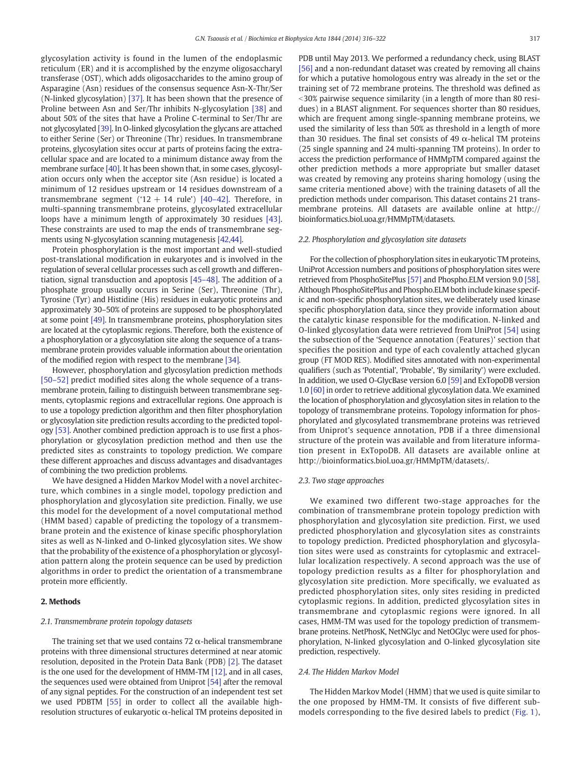glycosylation activity is found in the lumen of the endoplasmic reticulum (ER) and it is accomplished by the enzyme oligosaccharyl transferase (OST), which adds oligosaccharides to the amino group of Asparagine (Asn) residues of the consensus sequence Asn-X-Thr/Ser (N-linked glycosylation) [\[37\]](#page-6-0). It has been shown that the presence of Proline between Asn and Ser/Thr inhibits N-glycosylation [\[38\]](#page-6-0) and about 50% of the sites that have a Proline C-terminal to Ser/Thr are not glycosylated [\[39\]](#page-6-0). In O-linked glycosylation the glycans are attached to either Serine (Ser) or Threonine (Thr) residues. In transmembrane proteins, glycosylation sites occur at parts of proteins facing the extracellular space and are located to a minimum distance away from the membrane surface [\[40\]](#page-6-0). It has been shown that, in some cases, glycosylation occurs only when the acceptor site (Asn residue) is located a minimum of 12 residues upstream or 14 residues downstream of a transmembrane segment (' $12 + 14$  rule') [40-[42\].](#page-6-0) Therefore, in multi-spanning transmembrane proteins, glycosylated extracellular loops have a minimum length of approximately 30 residues [\[43\].](#page-6-0) These constraints are used to map the ends of transmembrane segments using N-glycosylation scanning mutagenesis [\[42,44\]](#page-6-0).

Protein phosphorylation is the most important and well-studied post-translational modification in eukaryotes and is involved in the regulation of several cellular processes such as cell growth and differentiation, signal transduction and apoptosis [45–[48\].](#page-6-0) The addition of a phosphate group usually occurs in Serine (Ser), Threonine (Thr), Tyrosine (Tyr) and Histidine (His) residues in eukaryotic proteins and approximately 30–50% of proteins are supposed to be phosphorylated at some point [\[49\].](#page-6-0) In transmembrane proteins, phosphorylation sites are located at the cytoplasmic regions. Therefore, both the existence of a phosphorylation or a glycosylation site along the sequence of a transmembrane protein provides valuable information about the orientation of the modified region with respect to the membrane [\[34\].](#page-6-0)

However, phosphorylation and glycosylation prediction methods [50–[52\]](#page-6-0) predict modified sites along the whole sequence of a transmembrane protein, failing to distinguish between transmembrane segments, cytoplasmic regions and extracellular regions. One approach is to use a topology prediction algorithm and then filter phosphorylation or glycosylation site prediction results according to the predicted topology [\[53\].](#page-6-0) Another combined prediction approach is to use first a phosphorylation or glycosylation prediction method and then use the predicted sites as constraints to topology prediction. We compare these different approaches and discuss advantages and disadvantages of combining the two prediction problems.

We have designed a Hidden Markov Model with a novel architecture, which combines in a single model, topology prediction and phosphorylation and glycosylation site prediction. Finally, we use this model for the development of a novel computational method (HMM based) capable of predicting the topology of a transmembrane protein and the existence of kinase specific phosphorylation sites as well as N-linked and O-linked glycosylation sites. We show that the probability of the existence of a phosphorylation or glycosylation pattern along the protein sequence can be used by prediction algorithms in order to predict the orientation of a transmembrane protein more efficiently.

#### 2. Methods

#### 2.1. Transmembrane protein topology datasets

The training set that we used contains 72  $\alpha$ -helical transmembrane proteins with three dimensional structures determined at near atomic resolution, deposited in the Protein Data Bank (PDB) [\[2\]](#page-5-0). The dataset is the one used for the development of HMM-TM [\[12\]](#page-5-0), and in all cases, the sequences used were obtained from Uniprot [\[54\]](#page-6-0) after the removal of any signal peptides. For the construction of an independent test set we used PDBTM [\[55\]](#page-6-0) in order to collect all the available highresolution structures of eukaryotic α-helical TM proteins deposited in PDB until May 2013. We performed a redundancy check, using BLAST [\[56\]](#page-6-0) and a non-redundant dataset was created by removing all chains for which a putative homologous entry was already in the set or the training set of 72 membrane proteins. The threshold was defined as  $\le$ 30% pairwise sequence similarity (in a length of more than 80 residues) in a BLAST alignment. For sequences shorter than 80 residues, which are frequent among single-spanning membrane proteins, we used the similarity of less than 50% as threshold in a length of more than 30 residues. The final set consists of 49  $\alpha$ -helical TM proteins (25 single spanning and 24 multi-spanning TM proteins). In order to access the prediction performance of HMMpTM compared against the other prediction methods a more appropriate but smaller dataset was created by removing any proteins sharing homology (using the same criteria mentioned above) with the training datasets of all the prediction methods under comparison. This dataset contains 21 transmembrane proteins. All datasets are available online at http:// bioinformatics.biol.uoa.gr/HMMpTM/datasets.

#### 2.2. Phosphorylation and glycosylation site datasets

For the collection of phosphorylation sites in eukaryotic TM proteins, UniProt Accession numbers and positions of phosphorylation sites were retrieved from PhosphoSitePlus [\[57\]](#page-6-0) and Phospho.ELM version 9.0 [\[58\].](#page-6-0) Although PhosphoSitePlus and Phospho.ELM both include kinase specific and non-specific phosphorylation sites, we deliberately used kinase specific phosphorylation data, since they provide information about the catalytic kinase responsible for the modification. N-linked and O-linked glycosylation data were retrieved from UniProt [\[54\]](#page-6-0) using the subsection of the 'Sequence annotation (Features)' section that specifies the position and type of each covalently attached glycan group (FT MOD RES). Modified sites annotated with non-experimental qualifiers (such as 'Potential', 'Probable', 'By similarity') were excluded. In addition, we used O-GlycBase version 6.0 [\[59\]](#page-6-0) and ExTopoDB version 1.0 [\[60\]](#page-6-0) in order to retrieve additional glycosylation data. We examined the location of phosphorylation and glycosylation sites in relation to the topology of transmembrane proteins. Topology information for phosphorylated and glycosylated transmembrane proteins was retrieved from Uniprot's sequence annotation, PDB if a three dimensional structure of the protein was available and from literature information present in ExTopoDB. All datasets are available online at http://bioinformatics.biol.uoa.gr/HMMpTM/datasets/.

## 2.3. Two stage approaches

We examined two different two-stage approaches for the combination of transmembrane protein topology prediction with phosphorylation and glycosylation site prediction. First, we used predicted phosphorylation and glycosylation sites as constraints to topology prediction. Predicted phosphorylation and glycosylation sites were used as constraints for cytoplasmic and extracellular localization respectively. A second approach was the use of topology prediction results as a filter for phosphorylation and glycosylation site prediction. More specifically, we evaluated as predicted phosphorylation sites, only sites residing in predicted cytoplasmic regions. In addition, predicted glycosylation sites in transmembrane and cytoplasmic regions were ignored. In all cases, HMM-TM was used for the topology prediction of transmembrane proteins. NetPhosK, NetNGlyc and NetOGlyc were used for phosphorylation, N-linked glycosylation and O-linked glycosylation site prediction, respectively.

### 2.4. The Hidden Markov Model

The Hidden Markov Model (HMM) that we used is quite similar to the one proposed by HMM-TM. It consists of five different submodels corresponding to the five desired labels to predict ([Fig. 1](#page-2-0)),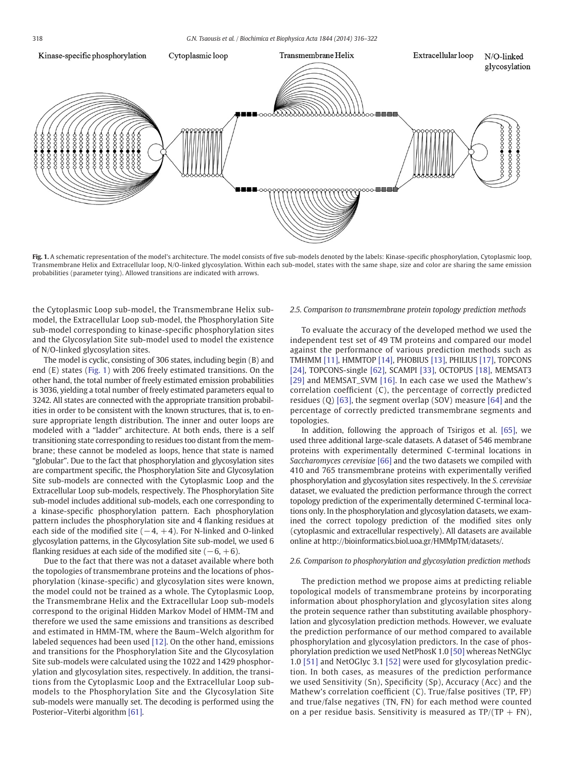<span id="page-2-0"></span>

Fig. 1. A schematic representation of the model's architecture. The model consists of five sub-models denoted by the labels: Kinase-specific phosphorylation, Cytoplasmic loop, Transmembrane Helix and Extracellular loop, N/O-linked glycosylation. Within each sub-model, states with the same shape, size and color are sharing the same emission probabilities (parameter tying). Allowed transitions are indicated with arrows.

the Cytoplasmic Loop sub-model, the Transmembrane Helix submodel, the Extracellular Loop sub-model, the Phosphorylation Site sub-model corresponding to kinase-specific phosphorylation sites and the Glycosylation Site sub-model used to model the existence of N/O-linked glycosylation sites.

The model is cyclic, consisting of 306 states, including begin (B) and end (E) states (Fig. 1) with 206 freely estimated transitions. On the other hand, the total number of freely estimated emission probabilities is 3036, yielding a total number of freely estimated parameters equal to 3242. All states are connected with the appropriate transition probabilities in order to be consistent with the known structures, that is, to ensure appropriate length distribution. The inner and outer loops are modeled with a "ladder" architecture. At both ends, there is a self transitioning state corresponding to residues too distant from the membrane; these cannot be modeled as loops, hence that state is named "globular". Due to the fact that phosphorylation and glycosylation sites are compartment specific, the Phosphorylation Site and Glycosylation Site sub-models are connected with the Cytoplasmic Loop and the Extracellular Loop sub-models, respectively. The Phosphorylation Site sub-model includes additional sub-models, each one corresponding to a kinase-specific phosphorylation pattern. Each phosphorylation pattern includes the phosphorylation site and 4 flanking residues at each side of the modified site  $(-4, +4)$ . For N-linked and O-linked glycosylation patterns, in the Glycosylation Site sub-model, we used 6 flanking residues at each side of the modified site  $(-6, +6)$ .

Due to the fact that there was not a dataset available where both the topologies of transmembrane proteins and the locations of phosphorylation (kinase-specific) and glycosylation sites were known, the model could not be trained as a whole. The Cytoplasmic Loop, the Transmembrane Helix and the Extracellular Loop sub-models correspond to the original Hidden Markov Model of HMM-TM and therefore we used the same emissions and transitions as described and estimated in HMM-TM, where the Baum–Welch algorithm for labeled sequences had been used [\[12\]](#page-5-0). On the other hand, emissions and transitions for the Phosphorylation Site and the Glycosylation Site sub-models were calculated using the 1022 and 1429 phosphorylation and glycosylation sites, respectively. In addition, the transitions from the Cytoplasmic Loop and the Extracellular Loop submodels to the Phosphorylation Site and the Glycosylation Site sub-models were manually set. The decoding is performed using the Posterior–Viterbi algorithm [\[61\].](#page-6-0)

# 2.5. Comparison to transmembrane protein topology prediction methods

To evaluate the accuracy of the developed method we used the independent test set of 49 TM proteins and compared our model against the performance of various prediction methods such as TMHMM [\[11\],](#page-5-0) HMMTOP [\[14\]](#page-5-0), PHOBIUS [\[13\],](#page-5-0) PHILIUS [\[17\],](#page-5-0) TOPCONS [\[24\],](#page-6-0) TOPCONS-single [\[62\]](#page-6-0), SCAMPI [\[33\],](#page-6-0) OCTOPUS [\[18\],](#page-5-0) MEMSAT3 [\[29\]](#page-6-0) and MEMSAT\_SVM [\[16\].](#page-5-0) In each case we used the Mathew's correlation coefficient (C), the percentage of correctly predicted residues (Q) [\[63\]](#page-6-0), the segment overlap (SOV) measure [\[64\]](#page-6-0) and the percentage of correctly predicted transmembrane segments and topologies.

In addition, following the approach of Tsirigos et al. [\[65\],](#page-6-0) we used three additional large-scale datasets. A dataset of 546 membrane proteins with experimentally determined C-terminal locations in Saccharomyces cerevisiae [\[66\]](#page-6-0) and the two datasets we compiled with 410 and 765 transmembrane proteins with experimentally verified phosphorylation and glycosylation sites respectively. In the S. cerevisiae dataset, we evaluated the prediction performance through the correct topology prediction of the experimentally determined C-terminal locations only. In the phosphorylation and glycosylation datasets, we examined the correct topology prediction of the modified sites only (cytoplasmic and extracellular respectively). All datasets are available online at http://bioinformatics.biol.uoa.gr/HMMpTM/datasets/.

# 2.6. Comparison to phosphorylation and glycosylation prediction methods

The prediction method we propose aims at predicting reliable topological models of transmembrane proteins by incorporating information about phosphorylation and glycosylation sites along the protein sequence rather than substituting available phosphorylation and glycosylation prediction methods. However, we evaluate the prediction performance of our method compared to available phosphorylation and glycosylation predictors. In the case of phosphorylation prediction we used NetPhosK 1.0 [\[50\]](#page-6-0) whereas NetNGlyc 1.0 [\[51\]](#page-6-0) and NetOGlyc 3.1 [\[52\]](#page-6-0) were used for glycosylation prediction. In both cases, as measures of the prediction performance we used Sensitivity (Sn), Specificity (Sp), Accuracy (Acc) and the Mathew's correlation coefficient (C). True/false positives (TP, FP) and true/false negatives (TN, FN) for each method were counted on a per residue basis. Sensitivity is measured as  $TP/(TP + FN)$ ,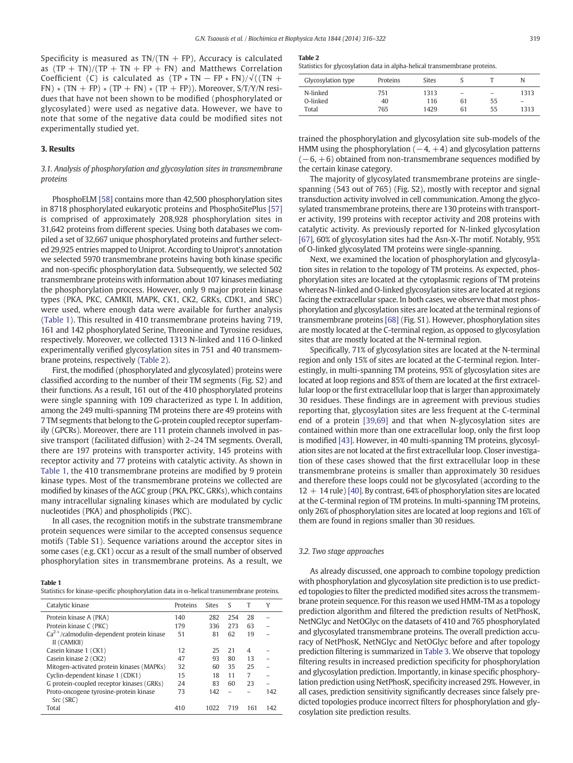Specificity is measured as  $TN/(TN + FP)$ , Accuracy is calculated as  $(TP + TN)/(TP + TN + FP + FN)$  and Matthews Correlation Coefficient (C) is calculated as  $(TP * TN - FP * FN)/\sqrt{(TN +$ FN)  $*$  (TN + FP)  $*$  (TP + FN)  $*$  (TP + FP)). Moreover, S/T/Y/N residues that have not been shown to be modified (phosphorylated or glycosylated) were used as negative data. However, we have to note that some of the negative data could be modified sites not experimentally studied yet.

## 3. Results

3.1. Analysis of phosphorylation and glycosylation sites in transmembrane proteins

PhosphoELM [\[58\]](#page-6-0) contains more than 42,500 phosphorylation sites in 8718 phosphorylated eukaryotic proteins and PhosphoSitePlus [\[57\]](#page-6-0) is comprised of approximately 208,928 phosphorylation sites in 31,642 proteins from different species. Using both databases we compiled a set of 32,667 unique phosphorylated proteins and further selected 29,925 entries mapped to Uniprot. According to Uniprot's annotation we selected 5970 transmembrane proteins having both kinase specific and non-specific phosphorylation data. Subsequently, we selected 502 transmembrane proteins with information about 107 kinases mediating the phosphorylation process. However, only 9 major protein kinase types (PKA, PKC, CAMKII, MAPK, CK1, CK2, GRKs, CDK1, and SRC) were used, where enough data were available for further analysis (Table 1). This resulted in 410 transmembrane proteins having 719, 161 and 142 phosphorylated Serine, Threonine and Tyrosine residues, respectively. Moreover, we collected 1313 N-linked and 116 O-linked experimentally verified glycosylation sites in 751 and 40 transmembrane proteins, respectively (Table 2).

First, the modified (phosphorylated and glycosylated) proteins were classified according to the number of their TM segments (Fig. S2) and their functions. As a result, 161 out of the 410 phosphorylated proteins were single spanning with 109 characterized as type I. In addition, among the 249 multi-spanning TM proteins there are 49 proteins with 7 TM segments that belong to the G-protein coupled receptor superfamily (GPCRs). Moreover, there are 111 protein channels involved in passive transport (facilitated diffusion) with 2–24 TM segments. Overall, there are 197 proteins with transporter activity, 145 proteins with receptor activity and 77 proteins with catalytic activity. As shown in Table 1, the 410 transmembrane proteins are modified by 9 protein kinase types. Most of the transmembrane proteins we collected are modified by kinases of the AGC group (PKA, PKC, GRKs), which contains many intracellular signaling kinases which are modulated by cyclic nucleotides (PKA) and phospholipids (PKC).

In all cases, the recognition motifs in the substrate transmembrane protein sequences were similar to the accepted consensus sequence motifs (Table S1). Sequence variations around the acceptor sites in some cases (e.g. CK1) occur as a result of the small number of observed phosphorylation sites in transmembrane proteins. As a result, we

### Table 1

| Statistics for kinase-specific phosphorylation data in $\alpha$ -helical transmembrane proteins. |  |
|--------------------------------------------------------------------------------------------------|--|
|--------------------------------------------------------------------------------------------------|--|

| Catalytic kinase                           | Proteins | <b>Sites</b> | S   | Τ   | Υ   |
|--------------------------------------------|----------|--------------|-----|-----|-----|
| Protein kinase A (PKA)                     | 140      | 282          | 254 | 28  |     |
| Protein kinase C (PKC)                     | 179      | 336          | 273 | 63  |     |
| $Ca2+/calmodulin-dependent protein kinase$ | 51       | 81           | 62  | 19  |     |
| II (CAMKII)                                |          |              |     |     |     |
| Casein kinase 1 (CK1)                      | 12       | 25           | 21  | 4   |     |
| Casein kinase 2 (CK2)                      | 47       | 93           | 80  | 13  |     |
| Mitogen-activated protein kinases (MAPKs)  | 32       | 60           | 35  | 25  |     |
| Cyclin-dependent kinase 1 (CDK1)           | 15       | 18           | 11  | 7   |     |
| G protein-coupled receptor kinases (GRKs)  | 24       | 83           | 60  | 23  |     |
| Proto-oncogene tyrosine-protein kinase     | 73       | 142          |     |     | 142 |
| Src (SRC)                                  |          |              |     |     |     |
| Total                                      | 410      | 1022         | 719 | 161 | 142 |

#### Table 2

Statistics for glycosylation data in alpha-helical transmembrane proteins.

| Glycosylation type | Proteins | <b>Sites</b> |    |    | N    |
|--------------------|----------|--------------|----|----|------|
| N-linked           | 751      | 1313         | -  |    | 1313 |
| O-linked           | 40       | 116          | 61 | 55 | -    |
| Total              | 765      | 1429         | 61 | 55 | 1313 |

trained the phosphorylation and glycosylation site sub-models of the HMM using the phosphorylation  $(-4, +4)$  and glycosylation patterns  $(-6, +6)$  obtained from non-transmembrane sequences modified by the certain kinase category.

The majority of glycosylated transmembrane proteins are singlespanning (543 out of 765) (Fig. S2), mostly with receptor and signal transduction activity involved in cell communication. Among the glycosylated transmembrane proteins, there are 130 proteins with transporter activity, 199 proteins with receptor activity and 208 proteins with catalytic activity. As previously reported for N-linked glycosylation [\[67\]](#page-6-0), 60% of glycosylation sites had the Asn-X-Thr motif. Notably, 95% of O-linked glycosylated TM proteins were single-spanning.

Next, we examined the location of phosphorylation and glycosylation sites in relation to the topology of TM proteins. As expected, phosphorylation sites are located at the cytoplasmic regions of TM proteins whereas N-linked and O-linked glycosylation sites are located at regions facing the extracellular space. In both cases, we observe that most phosphorylation and glycosylation sites are located at the terminal regions of transmembrane proteins [\[68\]](#page-6-0) (Fig. S1). However, phosphorylation sites are mostly located at the C-terminal region, as opposed to glycosylation sites that are mostly located at the N-terminal region.

Specifically, 71% of glycosylation sites are located at the N-terminal region and only 15% of sites are located at the C-terminal region. Interestingly, in multi-spanning TM proteins, 95% of glycosylation sites are located at loop regions and 85% of them are located at the first extracellular loop or the first extracellular loop that is larger than approximately 30 residues. These findings are in agreement with previous studies reporting that, glycosylation sites are less frequent at the C-terminal end of a protein [\[39,69\]](#page-6-0) and that when N-glycosylation sites are contained within more than one extracellular loop, only the first loop is modified [\[43\]](#page-6-0). However, in 40 multi-spanning TM proteins, glycosylation sites are not located at the first extracellular loop. Closer investigation of these cases showed that the first extracellular loop in these transmembrane proteins is smaller than approximately 30 residues and therefore these loops could not be glycosylated (according to the  $12 + 14$  rule) [\[40\]](#page-6-0). By contrast, 64% of phosphorylation sites are located at the C-terminal region of TM proteins. In multi-spanning TM proteins, only 26% of phosphorylation sites are located at loop regions and 16% of them are found in regions smaller than 30 residues.

# 3.2. Two stage approaches

As already discussed, one approach to combine topology prediction with phosphorylation and glycosylation site prediction is to use predicted topologies to filter the predicted modified sites across the transmembrane protein sequence. For this reason we used HMM-TM as a topology prediction algorithm and filtered the prediction results of NetPhosK, NetNGlyc and NetOGlyc on the datasets of 410 and 765 phosphorylated and glycosylated transmembrane proteins. The overall prediction accuracy of NetPhosK, NetNGlyc and NetOGlyc before and after topology prediction filtering is summarized in [Table 3.](#page-4-0) We observe that topology filtering results in increased prediction specificity for phosphorylation and glycosylation prediction. Importantly, in kinase specific phosphorylation prediction using NetPhosK, specificity increased 29%. However, in all cases, prediction sensitivity significantly decreases since falsely predicted topologies produce incorrect filters for phosphorylation and glycosylation site prediction results.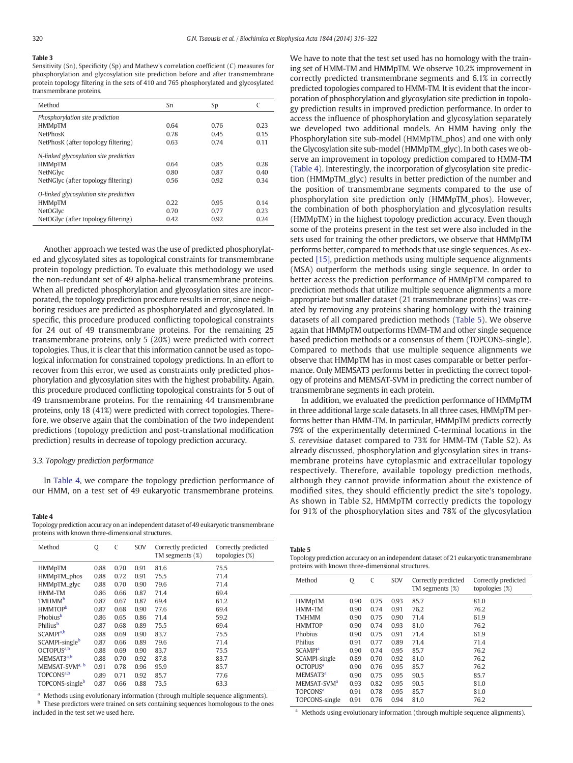#### <span id="page-4-0"></span>Table 3

Sensitivity (Sn), Specificity (Sp) and Mathew's correlation coefficient (C) measures for phosphorylation and glycosylation site prediction before and after transmembrane protein topology filtering in the sets of 410 and 765 phosphorylated and glycosylated transmembrane proteins.

| Method                                 | Sn   | Sp   |      |
|----------------------------------------|------|------|------|
| Phosphorylation site prediction        |      |      |      |
| <b>HMMpTM</b>                          | 0.64 | 0.76 | 0.23 |
| <b>NetPhosK</b>                        | 0.78 | 0.45 | 0.15 |
| NetPhosK (after topology filtering)    | 0.63 | 0.74 | 0.11 |
| N-linked glycosylation site prediction |      |      |      |
| <b>HMMpTM</b>                          | 0.64 | 0.85 | 0.28 |
| NetNGlyc                               | 0.80 | 0.87 | 0.40 |
| NetNGlyc (after topology filtering)    | 0.56 | 0.92 | 0.34 |
| O-linked glycosylation site prediction |      |      |      |
| <b>HMMpTM</b>                          | 0.22 | 0.95 | 0.14 |
| NetOGlyc                               | 0.70 | 0.77 | 0.23 |
| NetOGlyc (after topology filtering)    | 0.42 | 0.92 | 0.24 |

Another approach we tested was the use of predicted phosphorylated and glycosylated sites as topological constraints for transmembrane protein topology prediction. To evaluate this methodology we used the non-redundant set of 49 alpha-helical transmembrane proteins. When all predicted phosphorylation and glycosylation sites are incorporated, the topology prediction procedure results in error, since neighboring residues are predicted as phosphorylated and glycosylated. In specific, this procedure produced conflicting topological constraints for 24 out of 49 transmembrane proteins. For the remaining 25 transmembrane proteins, only 5 (20%) were predicted with correct topologies. Thus, it is clear that this information cannot be used as topological information for constrained topology predictions. In an effort to recover from this error, we used as constraints only predicted phosphorylation and glycosylation sites with the highest probability. Again, this procedure produced conflicting topological constraints for 5 out of 49 transmembrane proteins. For the remaining 44 transmembrane proteins, only 18 (41%) were predicted with correct topologies. Therefore, we observe again that the combination of the two independent predictions (topology prediction and post-translational modification prediction) results in decrease of topology prediction accuracy.

### 3.3. Topology prediction performance

In Table 4, we compare the topology prediction performance of our HMM, on a test set of 49 eukaryotic transmembrane proteins.

#### Table 4

Topology prediction accuracy on an independent dataset of 49 eukaryotic transmembrane proteins with known three-dimensional structures.

| Method                      | Q    | C    | SOV  | Correctly predicted<br>TM segments (%) | Correctly predicted<br>topologies (%) |
|-----------------------------|------|------|------|----------------------------------------|---------------------------------------|
| <b>HMMpTM</b>               | 0.88 | 0.70 | 0.91 | 81.6                                   | 75.5                                  |
| HMMpTM_phos                 | 0.88 | 0.72 | 0.91 | 75.5                                   | 71.4                                  |
| HMMpTM_glyc                 | 0.88 | 0.70 | 0.90 | 79.6                                   | 71.4                                  |
| HMM-TM                      | 0.86 | 0.66 | 0.87 | 71.4                                   | 69.4                                  |
| <b>TMHMM<sup>b</sup></b>    | 0.87 | 0.67 | 0.87 | 69.4                                   | 61.2                                  |
| <b>HMMTOP</b>               | 0.87 | 0.68 | 0.90 | 77.6                                   | 69.4                                  |
| Phobius <sup>b</sup>        | 0.86 | 0.65 | 0.86 | 71.4                                   | 59.2                                  |
| Philiusb                    | 0.87 | 0.68 | 0.89 | 75.5                                   | 69.4                                  |
| SCAMPI <sup>a,b</sup>       | 0.88 | 0.69 | 0.90 | 83.7                                   | 75.5                                  |
| SCAMPI-single <sup>b</sup>  | 0.87 | 0.66 | 0.89 | 79.6                                   | 71.4                                  |
| OCTOPUS <sup>a,b</sup>      | 0.88 | 0.69 | 0.90 | 83.7                                   | 75.5                                  |
| MEMSAT3a,b                  | 0.88 | 0.70 | 0.92 | 87.8                                   | 83.7                                  |
| MEMSAT-SVM <sup>a, b</sup>  | 0.91 | 0.78 | 0.96 | 95.9                                   | 85.7                                  |
| TOPCONS <sup>a,b</sup>      | 0.89 | 0.71 | 0.92 | 85.7                                   | 77.6                                  |
| TOPCONS-single <sup>b</sup> | 0.87 | 0.66 | 0.88 | 73.5                                   | 63.3                                  |

Methods using evolutionary information (through multiple sequence alignments).

**b** These predictors were trained on sets containing sequences homologous to the ones included in the test set we used here.

We have to note that the test set used has no homology with the training set of HMM-TM and HMMpTM. We observe 10.2% improvement in correctly predicted transmembrane segments and 6.1% in correctly predicted topologies compared to HMM-TM. It is evident that the incorporation of phosphorylation and glycosylation site prediction in topology prediction results in improved prediction performance. In order to access the influence of phosphorylation and glycosylation separately we developed two additional models. An HMM having only the Phosphorylation site sub-model (HMMpTM\_phos) and one with only the Glycosylation site sub-model (HMMpTM\_glyc). In both cases we observe an improvement in topology prediction compared to HMM-TM (Table 4). Interestingly, the incorporation of glycosylation site prediction (HMMpTM\_glyc) results in better prediction of the number and the position of transmembrane segments compared to the use of phosphorylation site prediction only (HMMpTM\_phos). However, the combination of both phosphorylation and glycosylation results (HMMpTM) in the highest topology prediction accuracy. Even though some of the proteins present in the test set were also included in the sets used for training the other predictors, we observe that HMMpTM performs better, compared to methods that use single sequences. As expected [\[15\]](#page-5-0), prediction methods using multiple sequence alignments (MSA) outperform the methods using single sequence. In order to better access the prediction performance of HMMpTM compared to prediction methods that utilize multiple sequence alignments a more appropriate but smaller dataset (21 transmembrane proteins) was created by removing any proteins sharing homology with the training datasets of all compared prediction methods (Table 5). We observe again that HMMpTM outperforms HMM-TM and other single sequence based prediction methods or a consensus of them (TOPCONS-single). Compared to methods that use multiple sequence alignments we observe that HMMpTM has in most cases comparable or better performance. Only MEMSAT3 performs better in predicting the correct topology of proteins and MEMSAT-SVM in predicting the correct number of transmembrane segments in each protein.

In addition, we evaluated the prediction performance of HMMpTM in three additional large scale datasets. In all three cases, HMMpTM performs better than HMM-TM. In particular, HMMpTM predicts correctly 79% of the experimentally determined C-terminal locations in the S. cerevisiae dataset compared to 73% for HMM-TM (Table S2). As already discussed, phosphorylation and glycosylation sites in transmembrane proteins have cytoplasmic and extracellular topology respectively. Therefore, available topology prediction methods, although they cannot provide information about the existence of modified sites, they should efficiently predict the site's topology. As shown in Table S2, HMMpTM correctly predicts the topology for 91% of the phosphorylation sites and 78% of the glycosylation

Table 5 Topology prediction accuracy on an independent dataset of 21 eukaryotic transmembrane proteins with known three-dimensional structures.

| Method                     | Q    | C    | SOV  | Correctly predicted<br>TM segments (%) | Correctly predicted<br>topologies (%) |
|----------------------------|------|------|------|----------------------------------------|---------------------------------------|
| HMMpTM                     | 0.90 | 0.75 | 0.93 | 85.7                                   | 81.0                                  |
| HMM-TM                     | 0.90 | 0.74 | 0.91 | 76.2                                   | 76.2                                  |
| <b>TMHMM</b>               | 0.90 | 0.75 | 0.90 | 71.4                                   | 61.9                                  |
| <b>HMMTOP</b>              | 0.90 | 0.74 | 0.93 | 81.0                                   | 76.2                                  |
| Phobius                    | 0.90 | 0.75 | 0.91 | 71.4                                   | 61.9                                  |
| Philius                    | 0.91 | 0.77 | 0.89 | 71.4                                   | 71.4                                  |
| <b>SCAMPI<sup>a</sup></b>  | 0.90 | 0.74 | 0.95 | 85.7                                   | 76.2                                  |
| SCAMPI-single              | 0.89 | 0.70 | 0.92 | 81.0                                   | 76.2                                  |
| <b>OCTOPUS<sup>a</sup></b> | 0.90 | 0.76 | 0.95 | 85.7                                   | 76.2                                  |
| MEMSAT3 <sup>a</sup>       | 0.90 | 0.75 | 0.95 | 90.5                                   | 85.7                                  |
| MEMSAT-SVM <sup>a</sup>    | 0.93 | 0.82 | 0.95 | 90.5                                   | 81.0                                  |
| <b>TOPCONS<sup>a</sup></b> | 0.91 | 0.78 | 0.95 | 85.7                                   | 81.0                                  |
| TOPCONS-single             | 0.91 | 0.76 | 0.94 | 81.0                                   | 76.2                                  |
|                            |      |      |      |                                        |                                       |

<sup>a</sup> Methods using evolutionary information (through multiple sequence alignments).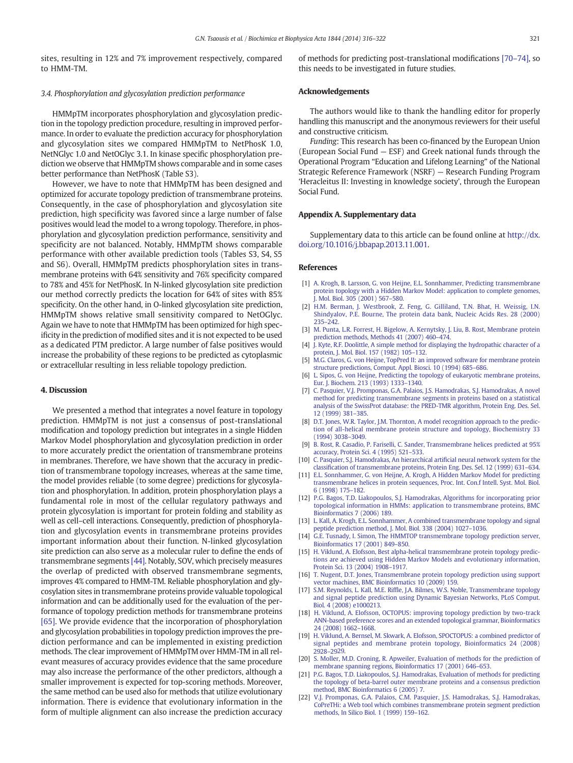<span id="page-5-0"></span>sites, resulting in 12% and 7% improvement respectively, compared to HMM-TM.

### 3.4. Phosphorylation and glycosylation prediction performance

HMMpTM incorporates phosphorylation and glycosylation prediction in the topology prediction procedure, resulting in improved performance. In order to evaluate the prediction accuracy for phosphorylation and glycosylation sites we compared HMMpTM to NetPhosK 1.0, NetNGlyc 1.0 and NetOGlyc 3.1. In kinase specific phosphorylation prediction we observe that HMMpTM shows comparable and in some cases better performance than NetPhosK (Table S3).

However, we have to note that HMMpTM has been designed and optimized for accurate topology prediction of transmembrane proteins. Consequently, in the case of phosphorylation and glycosylation site prediction, high specificity was favored since a large number of false positives would lead the model to a wrong topology. Therefore, in phosphorylation and glycosylation prediction performance, sensitivity and specificity are not balanced. Notably, HMMpTM shows comparable performance with other available prediction tools (Tables S3, S4, S5 and S6). Overall, HMMpTM predicts phosphorylation sites in transmembrane proteins with 64% sensitivity and 76% specificity compared to 78% and 45% for NetPhosK. In N-linked glycosylation site prediction our method correctly predicts the location for 64% of sites with 85% specificity. On the other hand, in O-linked glycosylation site prediction, HMMpTM shows relative small sensitivity compared to NetOGlyc. Again we have to note that HMMpTM has been optimized for high specificity in the prediction of modified sites and it is not expected to be used as a dedicated PTM predictor. A large number of false positives would increase the probability of these regions to be predicted as cytoplasmic or extracellular resulting in less reliable topology prediction.

# 4. Discussion

We presented a method that integrates a novel feature in topology prediction. HMMpTM is not just a consensus of post-translational modification and topology prediction but integrates in a single Hidden Markov Model phosphorylation and glycosylation prediction in order to more accurately predict the orientation of transmembrane proteins in membranes. Therefore, we have shown that the accuracy in prediction of transmembrane topology increases, whereas at the same time, the model provides reliable (to some degree) predictions for glycosylation and phosphorylation. In addition, protein phosphorylation plays a fundamental role in most of the cellular regulatory pathways and protein glycosylation is important for protein folding and stability as well as cell–cell interactions. Consequently, prediction of phosphorylation and glycosylation events in transmembrane proteins provides important information about their function. N-linked glycosylation site prediction can also serve as a molecular ruler to define the ends of transmembrane segments [\[44\].](#page-6-0) Notably, SOV, which precisely measures the overlap of predicted with observed transmembrane segments, improves 4% compared to HMM-TM. Reliable phosphorylation and glycosylation sites in transmembrane proteins provide valuable topological information and can be additionally used for the evaluation of the performance of topology prediction methods for transmembrane proteins [\[65\]](#page-6-0). We provide evidence that the incorporation of phosphorylation and glycosylation probabilities in topology prediction improves the prediction performance and can be implemented in existing prediction methods. The clear improvement of HMMpTM over HMM-TM in all relevant measures of accuracy provides evidence that the same procedure may also increase the performance of the other predictors, although a smaller improvement is expected for top-scoring methods. Moreover, the same method can be used also for methods that utilize evolutionary information. There is evidence that evolutionary information in the form of multiple alignment can also increase the prediction accuracy of methods for predicting post-translational modifications [70–[74\],](#page-6-0) so this needs to be investigated in future studies.

#### Acknowledgements

The authors would like to thank the handling editor for properly handling this manuscript and the anonymous reviewers for their useful and constructive criticism.

Funding: This research has been co-financed by the European Union (European Social Fund — ESF) and Greek national funds through the Operational Program "Education and Lifelong Learning" of the National Strategic Reference Framework (NSRF) — Research Funding Program 'Heracleitus II: Investing in knowledge society', through the European Social Fund.

### Appendix A. Supplementary data

Supplementary data to this article can be found online at [http://dx.](http://dx.doi.org/10.1016/j.bbapap.2013.11.001) [doi.org/10.1016/j.bbapap.2013.11.001.](http://dx.doi.org/10.1016/j.bbapap.2013.11.001)

#### References

- [1] [A. Krogh, B. Larsson, G. von Heijne, E.L. Sonnhammer, Predicting transmembrane](http://refhub.elsevier.com/S1570-9639(13)00376-2/rf0005) [protein topology with a Hidden Markov Model: application to complete genomes,](http://refhub.elsevier.com/S1570-9639(13)00376-2/rf0005) [J. Mol. Biol. 305 \(2001\) 567](http://refhub.elsevier.com/S1570-9639(13)00376-2/rf0005)–580.
- [2] [H.M. Berman, J. Westbrook, Z. Feng, G. Gilliland, T.N. Bhat, H. Weissig, I.N.](http://refhub.elsevier.com/S1570-9639(13)00376-2/rf0010) [Shindyalov, P.E. Bourne, The protein data bank, Nucleic Acids Res. 28 \(2000\)](http://refhub.elsevier.com/S1570-9639(13)00376-2/rf0010) [235](http://refhub.elsevier.com/S1570-9639(13)00376-2/rf0010)–242.
- [3] [M. Punta, L.R. Forrest, H. Bigelow, A. Kernytsky, J. Liu, B. Rost, Membrane protein](http://refhub.elsevier.com/S1570-9639(13)00376-2/rf0015) [prediction methods, Methods 41 \(2007\) 460](http://refhub.elsevier.com/S1570-9639(13)00376-2/rf0015)–474.
- [4] [J. Kyte, R.F. Doolittle, A simple method for displaying the hydropathic character of a](http://refhub.elsevier.com/S1570-9639(13)00376-2/rf0020) [protein, J. Mol. Biol. 157 \(1982\) 105](http://refhub.elsevier.com/S1570-9639(13)00376-2/rf0020)–132.
- [5] [M.G. Claros, G. von Heijne, TopPred II: an improved software for membrane protein](http://refhub.elsevier.com/S1570-9639(13)00376-2/rf0025) [structure predictions, Comput. Appl. Biosci. 10 \(1994\) 685](http://refhub.elsevier.com/S1570-9639(13)00376-2/rf0025)–686.
- [6] [L. Sipos, G. von Heijne, Predicting the topology of eukaryotic membrane proteins,](http://refhub.elsevier.com/S1570-9639(13)00376-2/rf0030) [Eur. J. Biochem. 213 \(1993\) 1333](http://refhub.elsevier.com/S1570-9639(13)00376-2/rf0030)–1340.
- [7] [C. Pasquier, V.J. Promponas, G.A. Palaios, J.S. Hamodrakas, S.J. Hamodrakas, A novel](http://refhub.elsevier.com/S1570-9639(13)00376-2/rf0035) [method for predicting transmembrane segments in proteins based on a statistical](http://refhub.elsevier.com/S1570-9639(13)00376-2/rf0035) [analysis of the SwissProt database: the PRED-TMR algorithm, Protein Eng. Des. Sel.](http://refhub.elsevier.com/S1570-9639(13)00376-2/rf0035) [12 \(1999\) 381](http://refhub.elsevier.com/S1570-9639(13)00376-2/rf0035)–385.
- [8] [D.T. Jones, W.R. Taylor, J.M. Thornton, A model recognition approach to the predic](http://refhub.elsevier.com/S1570-9639(13)00376-2/rf0040)[tion of all-helical membrane protein structure and topology, Biochemistry 33](http://refhub.elsevier.com/S1570-9639(13)00376-2/rf0040) [\(1994\) 3038](http://refhub.elsevier.com/S1570-9639(13)00376-2/rf0040)–3049.
- [9] [B. Rost, R. Casadio, P. Fariselli, C. Sander, Transmembrane helices predicted at 95%](http://refhub.elsevier.com/S1570-9639(13)00376-2/rf0045) [accuracy, Protein Sci. 4 \(1995\) 521](http://refhub.elsevier.com/S1570-9639(13)00376-2/rf0045)–533.
- [10] [C. Pasquier, S.J. Hamodrakas, An hierarchical arti](http://refhub.elsevier.com/S1570-9639(13)00376-2/rf0050)ficial neural network system for the classifi[cation of transmembrane proteins, Protein Eng. Des. Sel. 12 \(1999\) 631](http://refhub.elsevier.com/S1570-9639(13)00376-2/rf0050)–634.
- [11] [E.L. Sonnhammer, G. von Heijne, A. Krogh, A Hidden Markov Model for predicting](http://refhub.elsevier.com/S1570-9639(13)00376-2/rf0055) [transmembrane helices in protein sequences, Proc. Int. Con.f Intell. Syst. Mol. Biol.](http://refhub.elsevier.com/S1570-9639(13)00376-2/rf0055) [6 \(1998\) 175](http://refhub.elsevier.com/S1570-9639(13)00376-2/rf0055)–182.
- [12] [P.G. Bagos, T.D. Liakopoulos, S.J. Hamodrakas, Algorithms for incorporating prior](http://refhub.elsevier.com/S1570-9639(13)00376-2/rf0060) [topological information in HMMs: application to transmembrane proteins, BMC](http://refhub.elsevier.com/S1570-9639(13)00376-2/rf0060) [Bioinformatics 7 \(2006\) 189.](http://refhub.elsevier.com/S1570-9639(13)00376-2/rf0060)
- [13] [L. Kall, A. Krogh, E.L. Sonnhammer, A combined transmembrane topology and signal](http://refhub.elsevier.com/S1570-9639(13)00376-2/rf0065) [peptide prediction method, J. Mol. Biol. 338 \(2004\) 1027](http://refhub.elsevier.com/S1570-9639(13)00376-2/rf0065)–1036.
- [14] [G.E. Tusnady, I. Simon, The HMMTOP transmembrane topology prediction server,](http://refhub.elsevier.com/S1570-9639(13)00376-2/rf0070) [Bioinformatics 17 \(2001\) 849](http://refhub.elsevier.com/S1570-9639(13)00376-2/rf0070)–850.
- [15] [H. Viklund, A. Elofsson, Best alpha-helical transmembrane protein topology predic](http://refhub.elsevier.com/S1570-9639(13)00376-2/rf0075)[tions are achieved using Hidden Markov Models and evolutionary information,](http://refhub.elsevier.com/S1570-9639(13)00376-2/rf0075) [Protein Sci. 13 \(2004\) 1908](http://refhub.elsevier.com/S1570-9639(13)00376-2/rf0075)–1917.
- [16] [T. Nugent, D.T. Jones, Transmembrane protein topology prediction using support](http://refhub.elsevier.com/S1570-9639(13)00376-2/rf0080) [vector machines, BMC Bioinformatics 10 \(2009\) 159](http://refhub.elsevier.com/S1570-9639(13)00376-2/rf0080).
- [17] S.M. Reynolds, L. Kall, M.E. Riffl[e, J.A. Bilmes, W.S. Noble, Transmembrane topology](http://refhub.elsevier.com/S1570-9639(13)00376-2/rf0085) [and signal peptide prediction using Dynamic Bayesian Networks, PLoS Comput.](http://refhub.elsevier.com/S1570-9639(13)00376-2/rf0085) [Biol. 4 \(2008\) e1000213](http://refhub.elsevier.com/S1570-9639(13)00376-2/rf0085).
- [18] [H. Viklund, A. Elofsson, OCTOPUS: improving topology prediction by two-track](http://refhub.elsevier.com/S1570-9639(13)00376-2/rf0090) [ANN-based preference scores and an extended topological grammar, Bioinformatics](http://refhub.elsevier.com/S1570-9639(13)00376-2/rf0090) [24 \(2008\) 1662](http://refhub.elsevier.com/S1570-9639(13)00376-2/rf0090)–1668.
- [19] [H. Viklund, A. Bernsel, M. Skwark, A. Elofsson, SPOCTOPUS: a combined predictor of](http://refhub.elsevier.com/S1570-9639(13)00376-2/rf0095) [signal peptides and membrane protein topology, Bioinformatics 24 \(2008\)](http://refhub.elsevier.com/S1570-9639(13)00376-2/rf0095) 2928–[2929.](http://refhub.elsevier.com/S1570-9639(13)00376-2/rf0095)
- [20] [S. Moller, M.D. Croning, R. Apweiler, Evaluation of methods for the prediction of](http://refhub.elsevier.com/S1570-9639(13)00376-2/rf0100) [membrane spanning regions, Bioinformatics 17 \(2001\) 646](http://refhub.elsevier.com/S1570-9639(13)00376-2/rf0100)–653.
- [21] [P.G. Bagos, T.D. Liakopoulos, S.J. Hamodrakas, Evaluation of methods for predicting](http://refhub.elsevier.com/S1570-9639(13)00376-2/rf0105) [the topology of beta-barrel outer membrane proteins and a consensus prediction](http://refhub.elsevier.com/S1570-9639(13)00376-2/rf0105) [method, BMC Bioinformatics 6 \(2005\) 7.](http://refhub.elsevier.com/S1570-9639(13)00376-2/rf0105)
- [22] [V.J. Promponas, G.A. Palaios, C.M. Pasquier, J.S. Hamodrakas, S.J. Hamodrakas,](http://refhub.elsevier.com/S1570-9639(13)00376-2/rf0110) [CoPreTHi: a Web tool which combines transmembrane protein segment prediction](http://refhub.elsevier.com/S1570-9639(13)00376-2/rf0110) [methods, In Silico Biol. 1 \(1999\) 159](http://refhub.elsevier.com/S1570-9639(13)00376-2/rf0110)–162.